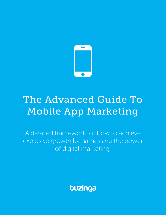

# The Advanced Guide To Mobile App Marketing

A detailed framework for how to achieve explosive growth by harnessing the power of digital marketing.

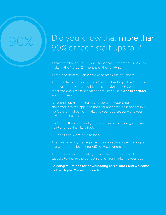# Did you know that more than 90% of tech start ups fail?

There are a handful of key decisions that entrepreneurs have to make in the first 18-24 months of their startup.

These decisions will either make or break their business.

Apps can fail for many reasons (the app has bugs, it isn't intuitive to it's user or it was a bad idea to start with, etc etc) but the most common reasons that apps fail because it **doesn't attract** enough users.

What ends up happening is, you put all of your time, money and effort into the app, and then squander the best opportunity you've ever had by not marketing your app properly and you never attract users.

You're app then fails, and you are left with no money, a broken heart and looking like a fool.

But don't fret, we're here to help!

After seeing many start-ups fail I can objectively say that digital marketing is the best fit for 95% of tech startups.

This guide is going to help you find the right framework for success to design the perfect solution for marketing your app.

So congratulations for downloading this e-book and welcome to The Digital Marketing Guide!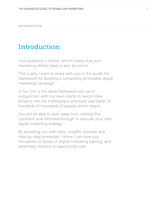INTRODUCTION

# Introduction

Your audience is online, which means that your marketing efforts need to also be online.

This is why I want to share with you in this guide the framework for building a completely actionable digital marketing campaign.

In fact this is the same framework we use in conjunction with our own clients to launch new projects into the marketplace and build user bases of hundreds of thousands of people within weeks.

You will be able to walk away from reading this, confident and informed enough to execute your own digital marketing strategy.

By providing you with tools, insights, tutorials and step-by-step processes, I know I can save you thousands of dollars in digital marketing training, and potentially millions in opportunity cost.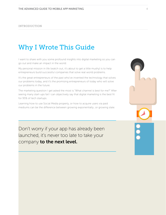#### INTRODUCTION

# Why I Wrote This Guide

I want to share with you some profound insights into digital marketing so you can go out and make an impact in the world.

My personal mission in life (watch out, it's about to get a little mushy) is to help entrepreneurs build successful companies that solve real world problems.

It's the great entrepreneurs of the past who've invented the technology that solves our problems today, and it's the promising entrepreneurs of today who will solve our problems in the future.

The marketing question I get asked the most is "What channel is best for me?" After seeing many start-ups fail I can objectively say that digital marketing is the best fit for 95% of tech startups.

Learning how to use Social Media properly, or how to acquire users via paid mediums can be the difference between growing exponentially…or growing stale.

Don't worry if your app has already been launched, it's never too late to take your company to the next level.

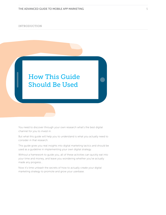#### INTRODUCTION



You need to discover through your own research what's the best digital channel for you to invest in.

But what this guide will help you to understand is what you actually need to consider in that research.

This guide gives you real insights into digital marketing tactics and should be used as a guideline in implementing your own digital strategy.

Without a framework to guide you, all of these activities can quickly eat into your time and money, and leave you wondering whether you've actually made any progress…

Now it's time unleash the secrets of how to actually create your digital marketing strategy to promote and grow your userbase.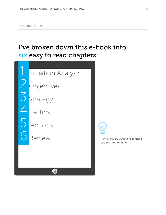# I've broken down this e-book into six easy to read chapters:



**1 Situation Analysis** 

2 Objectives

3 Strategy

**Tactics** 

5 Actions



Review Review Remember SOSTAR to keep these actions front of mind.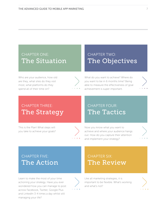### CHAPTER ONE: [The Situation](#page-7-0)

Who are your audience, how old are they, what sites do they visit most, what platforms do they spend all of their time on?



### CHAPTER TWO: [The Objectives](#page-14-0)

What do you want to achieve? Where do you want to be in 6 months time? Being able to measure the effectiveness of goal achievement is super important.

## CHAPTER THREE: [The Strategy](#page-16-0)

This is the Plan! What steps will you take to achieve your goals?



## CHAPTER FOUR: [The Tactics](#page-18-0)

Now you know what you want to achieve and where your audience hangs out. How do you capture their attention and implement your strategy?



## CHAPTER FIVE: [The Action](#page-20-0)

Learn to make the most of your time actioning your strategy. Have you ever wondered how you can manage to post across Facebook, Twitter, Google Plus and LinkedIn 3-4 times a day whilst still managing your life?



Like all marketing strategies, it is important to be flexible. What's working and what's not?

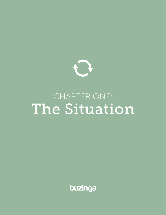<span id="page-7-0"></span>

# CHAPTER ONE: The Situation

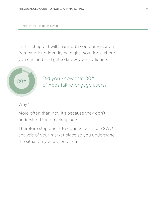#### CHAPTER ONE: THE SITUATION

In this chapter I will share with you our research framework for identifying digital solutions where you can find and get to know your audience.



Did you know that 80% of Apps fail to engage users?

#### Why?

More often than not, it's because they don't understand their marketplace.

Therefore step one is to conduct a simple SWOT analysis of your market place so you understand the situation you are entering.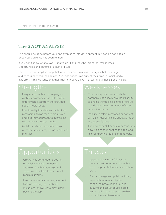#### The SWOT ANALYSIS

This should be done before your app even goes into development, but can be done again once your audience has been refined.

If you don't know what a SWOT analysis is, it analyses the Strengths, Weaknesses, Opportunities and Threats of a market place.

For example: An app like Snapchat would discover in a SWOT analysis that their target audience is between the ages of 14-25 and spends majority of their time in Social Media platforms. It makes sense that their most effective digital marketing channel is Social Media.

- Unique approach to messaging and mobile communications allows it to differentiate itself from the crowded social media feeds.
- Functionality that deletes content and messaging allows for a more private, and less risky approach to interacting with others via social media.
- Mobile-ready and simplistic design gives the app an easy-to-use and sleek interface.

- Controversy often surrounds the company, specifically around its ability to enable things like sexting, offensive or lurid comments, or abuse of others without evidence.
- Inability to retain messages or content can be a frustrating side effect as much as a useful feature.
- The company still needs to demonstrate how it plans to monetize the app, and its ever-growing legions of followers.

- Growth has continued to boom, especially among the teenage segment. The teenage segment spend most of their time in social media platforms.
- Use social media as an engagement tool, advertising on Facebook, Instagram, or Twitter to draw users back to the app.

- Legal ramifications of Snapchat have not yet become an issue, but have the potential to alienate certain users.
- Press coverage and public opinion, especially influenced by the continued prevalence of cyber bullying and sexual abuse, could easily mark Snapchat as an enabler or medium for these issues.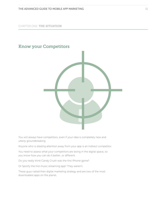CHAPTER ONE: THE SITUATION

#### Know your Competitors



You will always have competitors, even if your idea is completely new and utterly groundbreaking.

Anyone who is stealing attention away from your app is an indirect competitor.

You need to assess what your competitors are doing in the digital space, so you know how you can do it better…or different.

Do you really think Candy Crush was the first iPhone game?

Or Spotify the first music streaming app? They weren't.

These guys nailed their digital marketing strategy and are two of the most downloaded apps on the planet.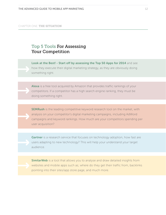### Top 5 Tools For Assessing Your Competition

[Look at the Best! - Start off by assessing the Top 50 Apps for 2014](http://au.pcmag.com/apps/4277/feature/50-best-free-iphone-apps-for-2014) and see how they execute their digital marketing strategy, as they are obviously doing something right.

[Alexa](http://www.alexa.com) is a free tool acquired by Amazon that provides traffic rankings of your competitors. If a competitor has a high search engine ranking, they must be doing something right.

**[SEMRush](http://www.semrush.com)** is the leading competitive keyword research tool on the market, with analysis on your competitor's digital marketing campaigns, including AdWord campaigns and keyword rankings. How much are your competitors spending per user acquisition?

[Gartner](http://www.gartner.com) is a research service that focuses on technology adoption, how fast are users adapting to new technology? This will help your understand your target audience.

**[SimilarWeb](www.similarweb.com)** is a tool that allows you to analyse and draw detailed insights from websites and mobile apps such as; where do they get their traffic from, backlinks pointing into their sites/app store page, and much more.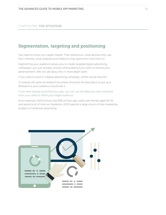#### CHAPTER ONE: THE SITUATION

#### Segmentation, targeting and positioning

You need to know your target market. Their behaviours, what devices they use, their interests, what websites and mediums they spend the most time on.

Segmenting your audience allows you to create targeted digital advertising campaigns, you can actually choose what audience you want to receive your advertisement. (We will talk about this in more depth later)

If you were to launch a digital advertising campaign, where would they be?

It's exactly the same as researching where would be the best place to put up a Billboard so your audience would see it.

If you have already launched your app, you can use the data you have collected from your users to refine your target audience.

As an example: ASOS knows that 85% of their app visitors are female aged 18-35 and spend a lot of time on Facebook. ASOS spends a large chunk of their marketing budget on Facebook advertising.

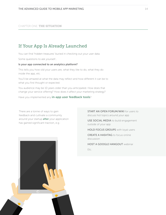#### CHAPTER ONE: THE SITUATION

### If Your App Is Already Launched

You can find 'hidden treasures' buried in checking out your user data.

Some questions to ask yourself…

#### Is your app connected to an analytics platform?

This tells you how old your users are, what they like to do, what they do inside the app, etc.

You'll be amazed at what the data may reflect and how different it can be to what you first thought or expected.

You audience may be 10 years older than you anticipated. How does that change your service offering? How does it affect your marketing strategy?

Have you implemented any [in-app user feedback tools](http://http://www.buzinga.com.au/buzz/user-feedback-tools/%20%0D)?

There are a tonne of ways to gain feedback and cultivate a community around your startup **after** your application has gained significant traction, e.g.:

START AN OPEN FORUM/WIKI for users to discuss hot topics around your app

USE SOCIAL MEDIA to build engagement outside of your app

HOLD FOCUS GROUPS with loyal users

CREATE A HASHTAG to focus online discussion

HOST A GOOGLE HANGOUT webinar Etc.



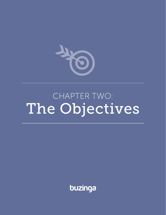

# CHAPTER TWO: The Objectives

<span id="page-14-0"></span>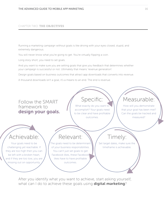#### CHAPTER TWO: THE OBJECTIVES

Running a marketing campaign without goals is like driving with your eyes closed; stupid, and extremely dangerous.

You will never know what you're going to get. You're virtually flipping a coin.

Long story short; you need to set goals.

And you want to make sure you are setting goals that give you feedback that determines whether your campaign is successful or not. Ultimately that means 'revenue generation'.

Design goals based on business outcomes that attract app downloads that converts into revenue.

A thousand downloads isn't a goal, it's a means to an end. The end is revenue.



After you identify what you want to achieve, start asking yourself, what can I do to achieve these goals using digital marketing?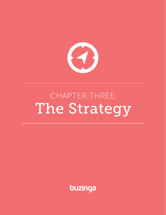<span id="page-16-0"></span>

# CHAPTER THREE: The Strategy

buzinga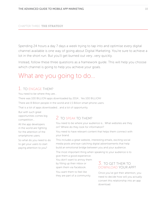#### CHAPTER THREE: THE STRATEGY

Spending 24 hours a day 7 days a week trying to tap into and optimise every digital channel available is one way of going about Digital Marketing. You're sure to achieve a lot in the short run. But you'll get burned out very…very quickly.

Instead, follow these three questions as a framework guide. This will help you choose which channel is going to help you achieve your goals.

# What are you going to do...

#### 1. TO ENGAGE THEM?

You need to be where they are…

There was 100 BILLION apps downloaded by 2014… Yes 100 BILLION!

There are 8 Billion people in the world and 1.5 Billion smart phone users.

That is a lot of apps downloaded… and a lot of opportunity.

But with such great opportunities comes big competition…

All the app developers in the world are fighting for the attention of the smartphone users.

So what do you need to do to get your users to start paying attention to you?

#### 2. TO SPEAK TO THEM?

You need to be where your audience is… What websites are they on? Where do they look for information?

You need to have relevant content that helps them connect with your brand.

This includes a great website, interesting emails, exciting social media posts and eye-catching digital advertisements that help build an emotional bridge between you and your audience.

The most important thing when speaking to your audience is to give them a good experience.

You don't want to annoy them by filling up their inbox or spam them via Facebook.

You want them to feel like they are part of a community.

#### 3. TO GET THEM TO DOWNLOAD YOUR APP?

Once you've got their attention, you need to decide how will you actually convert this relationship into an app download.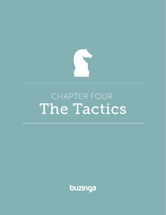<span id="page-18-0"></span>

# CHAPTER FOUR: The Tactics

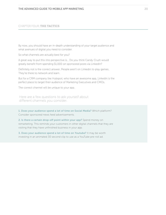#### CHAPTER FOUR: THE TACTICS

By now, you should have an in-depth understanding of your target audience and what avenues of digital you need to consider.

So what channels are actually best for you?

A great way to put this into perspective is… Do you think Candy Crush would greatly benefit from spending \$1,000 on sponsored posts via LinkedIn?

Definitely not is the correct answer. People aren't on Linkedin to play games. They're there to network and learn.

But for a CRM company like Hubspot, who have an awesome app, Linkedin is the perfect place to target their audience of Marketing Executives and CMOs.

The correct channel will be unique to your app.

Here are a few questions to ask yourself about different channels you consider.

1. Does your audience spend a lot of time on Social Media? Which platform? Consider sponsored news feed advertisements.

2. Is there a certain drop-off point within your app? Spend money on remarketing. This reminds your customers in other digital channels that they are visiting that they have unfinished business in your app.

3. Does your audience spend a lot of time on Youtube? It may be worth investing in an animated 30 second clip to use as a YouTube pre-roll ad.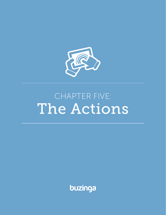<span id="page-20-0"></span>

# CHAPTER FIVE: The Actions

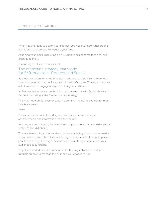When you are ready to action your strategy, you need to know what are the best tools that allow you to manage your time.

Actioning your digital marketing plan is when things become technical and often quite tricky.

I am going to let you in on a secret:

#### The marketing strategy that works for 84% of apps is 'Content and Social'.

By creating content (memes, blog posts, ads, etc.) and publishing them out via social networks such as Facebook, LinkedIn, Google+, Twitter, etc. you are able to reach and engage a large chunk of your audience.

At Buzinga, we've built a multi-million dollar company with Social Media and Content marketing at the forefront of our strategy.

This may not work for everyone, but it's certainly the go-to-strategy for most new businesses.

Why?

People read content in their daily news feeds, and consume more advertisements and information than ever before.

Not only are people going to be exposed to your content on a massive global scale. It's also dirt cheap.

The problem is this; you're not the only one marketing through social media, so you need to know how to break through the noise. With the right approach you'll be able to get through the clutter and seamlessly integrate into your audience's daily routine.

To get you started here are some great tools, infographics and in-depth tutorials on how to manage the channels you choose to use.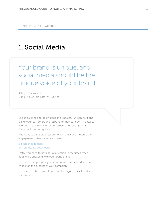# 1. Social Media

Your brand is unique, and social media should be the unique voice of your brand.

Katelyn Duckworth, Marketing Co-ordinator at Buzinga.

Use social media to post videos and updates, run competitions, talk to your customers and respond to their concerns. Re-tweet and post creative images of customers using your products. Everyone loves recognition.

Find ways to generate great content, share it and measure the engagement. What content achieves:

a) High engagement b) More quality downloads

Lastly, you need to pay a lot of attention to the times when people are engaging with your brand online.

The times that you post your content will have a fundamental impact on the success of your campaign.

These are the best times to post on the biggest social media platforms: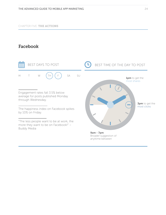### Facebook

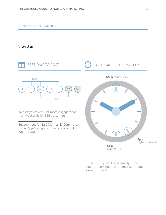#### **Twitter**



Best times to post: This is usually when people are on lunch, or on their commute home from work.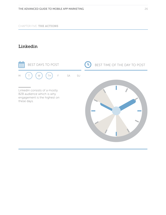### Linkedin

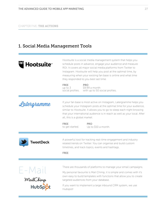## 1. Social Media Management Tools

| <b>lootsuite</b> ™ | Hootsuite is a social media management system that helps you<br>schedule posts in advance, engage your audience and measure<br>ROI. It covers all major social media platforms from Twitter to<br>Instagram. Hootsuite will help you post at the optimal time, by<br>measuring when your existing fan base is online and what time<br>they responded to you best last time.<br><b>FREE</b><br><b>PRO</b><br>\$9.99 a month<br>up to $3$ |  |  |  |
|--------------------|-----------------------------------------------------------------------------------------------------------------------------------------------------------------------------------------------------------------------------------------------------------------------------------------------------------------------------------------------------------------------------------------------------------------------------------------|--|--|--|
|                    | with up to 50 social profiles.<br>social profiles.                                                                                                                                                                                                                                                                                                                                                                                      |  |  |  |
| Latergramme        | If your fan base is most active on Instagram, Latergramme helps you<br>schedule your Instagram posts at the optimal time for your audience,<br>similar to Hootsuite. It allows you to go to sleep each night knowing<br>that your international audience is in reach as well as your local. After<br>all, this is a global market.                                                                                                      |  |  |  |
|                    | <b>FREE</b><br><b>PRO</b><br>Up to \$50 a month.<br>to get started.                                                                                                                                                                                                                                                                                                                                                                     |  |  |  |
| <b>TweetDeck</b>   | A powerful tool for tracking real-time engagement and industry<br>related trends on Twitter. You can organise and build custom<br>timelines, and track topics, events and hashtags.<br><b>FREE</b>                                                                                                                                                                                                                                      |  |  |  |
|                    |                                                                                                                                                                                                                                                                                                                                                                                                                                         |  |  |  |
|                    | There are thousands of platforms to manage your email campaigns.                                                                                                                                                                                                                                                                                                                                                                        |  |  |  |
| $E - M ail$        | My personal favourite is Mail Chimp, it is simple and comes with it's<br>own easy to build templates with functions that allow you to create<br>targeted audiences from your database.                                                                                                                                                                                                                                                  |  |  |  |
|                    | If you want to implement a large inbound CRM system, we use<br>Hubspot!                                                                                                                                                                                                                                                                                                                                                                 |  |  |  |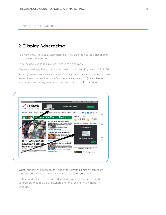#### 2. Display Advertising

You may know these as Display Banners. They are graphical ads that appear in ad spaces on websites.

They include text, logos, pictures, rich media and more.

Display advertising has a horrible conversion rate, reaching barely 1% in 2014.

But they are relatively easy to set up and track, especially through the Google Network which combines your Google Analytics account (for audience targeting), remarketing capabilities and your Pay-Per-Click account.



What I suggest as a more fruitful option for creating a display campaign is using 'remarketing software' instead of standard campaigns.

Instead of displaying a random ad, remarketing presents people with tailored ads that pop up everywhere after they've shown an interest in your app.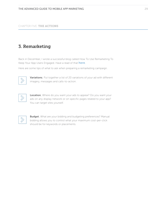#### 3. Remarketing

Back in December, I wrote a successful blog called How To Use Remarketing To Keep Your App Users Engaged. Have a read of that [here](http://www.buzinga.com.au/buzz/use-remarketing-keep-app-users-engaged-infographic/%0D).

Here are some tips of what to ask when preparing a remarketing campaign.



Variations; Put together a list of 20 variations of your ad with different imagery, messages and calls-to-action.



Location; Where do you want your ads to appear? Do you want your ads on any display network or on specific pages related to your app? You can target sites yourself.

**Budget**; What are your bidding and budgeting preferences? Manual bidding allows you to control what your maximum cost-per-click should be for keywords or placements.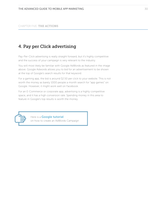### 4. Pay per Click advertising

Pay-Per-Click advertising is really straight forward, but it's highly competitive and the success of your campaign is very relevant to the industry.

You will most likely be familiar with Google AdWords as featured in the image above. Google Adwords allows you to bid for an advertisement to be shown at the top of Google's search results for that keyword.

For a gaming app, the bid is around \$2.50 per click to your website. This is not worth the money as barely 1000 people a month search for "app games" on Google. However, it might work well on Facebook.

For an E-Commerce or corporate app, advertising is a highly competitive space, and it has a high conversion rate. Spending money in this area to feature in Google's top results is worth the money.



Here is a **[Google tutorial](https://support.google.com/adwords/answer/1704395%3Fhl%3Den-AU%0D)** on how to create an AdWords Campaign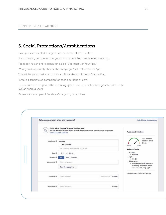### 5. Social Promotions/Amplifications

Have you ever created a targeted ad for Facebook and Twitter?

If you haven't, prepare to have your mind blown! Because it's mind blowing…

Facebook has an entire campaign called "Get Installs of Your App."

What you do is, simply choose the campaign: "Get Install of Your App."

You will be prompted to add in your URL for the AppStore or Google Play.

(Create a separate ad campaign for each operating system)

Facebook then recognises the operating system and automatically targets the ad to only iOS or Android users.

Below is an example of Facebook's targeting capabilities.

|                      |                     | Who do you want your ads to reach?                                                                                                                                       |                      |        | Help: Chocse Your Audience                                          |
|----------------------|---------------------|--------------------------------------------------------------------------------------------------------------------------------------------------------------------------|----------------------|--------|---------------------------------------------------------------------|
| $\mathcal{S}_\Omega$ |                     | Target Ads to People Who Know Your Business<br>You can create a Custom Audience to show ads to your contacts, website visitors or app users.<br>Create a Custom Audience |                      |        | <b>Audience Definition</b>                                          |
|                      | Locations O         | Australia<br>All Australia                                                                                                                                               |                      |        | Your audience<br>selection is fairly<br>broad.<br>Specific<br>Broad |
|                      |                     | Add a country, state/province, city or ZIP                                                                                                                               |                      |        | Audience Details:<br>· Location:                                    |
|                      | Age ()<br>Gender () | $65 + r$<br>18<br>×<br>Women<br>All<br>Men                                                                                                                               |                      |        | o Australia<br>$-$ Age:                                             |
|                      | Languages ®         | Enter a language                                                                                                                                                         |                      |        | $0.18 - 65 +$<br>· Placements:<br>o on News Feed and right column   |
|                      |                     | More Demographics +                                                                                                                                                      |                      |        | on desktop computers, Mobile<br>Feed and Third-party Apps           |
|                      | Interests (5)       | Search Interests                                                                                                                                                         | Supportions   Browse |        | Potential Reach: 12,600,000 people                                  |
|                      |                     |                                                                                                                                                                          |                      |        |                                                                     |
|                      | Behaviors ®         | Search behaviors                                                                                                                                                         |                      | Browse |                                                                     |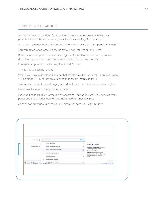As you can see on the right, Facebook will give you an estimate of what your potential reach is based on what you selected as the targeted options:

Men and Women aged 40-65 who live in Melbourne= 1.04 Million people reached.

You can go as far as targeting the behaviour and interest of your users.

Behavioural examples include online digital activities (audience is active online, downloads games from sponsored ads, frequently purchases online.)

Interest examples include Fitness, Travel and Business.

Why is this so exciting for you?

Well, if you have a developed an app that assists travellers, your return on investment will be higher if you target an audience that has an interest in travel.

The likelihood that they will engage an ad that is of interest to them will be higher.

How does Facebook know this information?

Facebook collects this information by analysing your online activities, such as what pages you like or what location you have recently checked into.

After choosing your audience you just simply choose your daily budget.

| Behaviors O   | Search behaviors                      | <b>Brawne</b> |                                                                    |
|---------------|---------------------------------------|---------------|--------------------------------------------------------------------|
|               | Online spenders                       | ÷             | 1,190,911 people                                                   |
| Connections O | Dniine spenders (Attive)              | £             | Facebook Categories > Behaviors<br>> Digital activities > Online   |
|               | Online spenders (Engaged)             | ó             | spenders (Engaged)                                                 |
|               | Operating System Used<br>$\mathbf{r}$ |               | Description: People who have<br>spent more than \$100 on Facebook. |
|               | Photo uploaders                       | ÷             | Payments platform in the past 3<br>months.                         |
|               | Primary amail domain                  |               |                                                                    |
|               |                                       |               | meigr existgeling & Pho                                            |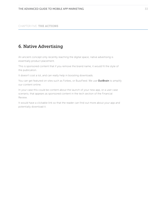### 6. Native Advertising

An ancient concept only recently reaching the digital space; native advertising is essentially product placement.

This is sponsored content that if you remove the brand name, it would fit the style of the publication.

It doesn't cost a lot, and can really help in boosting downloads.

You can get featured on sites such as Forbes, or BuzzFeed. We use [OutBrain](http://www.outbrain.com) to amplify our content online.

In your case this could be content about the launch of your new app, or a user case scenario, that appears as sponsored content in the tech section of the Financial Review.

It would have a clickable link so that the reader can find out more about your app and potentially download it.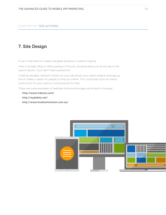### 7. Site Design

A site is important to create a tangible presence in search engines.

How is Google, Bing or Yahoo going to find you, let alone place you at the top of the search results, if you don't have a presence?

Creating valuable, relevant content on your site drives your search engine rankings up which makes it easier for people to find you online. This could even form an online community for your users to come and ask for help.

These are some examples of websites that promote apps we've built in the past:

- http://www.tribesta.com/
- http://mydebits.net/
- http://www.foodswitchstars.com.au/

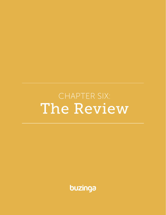<span id="page-34-0"></span>CHAPTER SIX: The Review

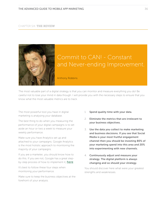#### CHAPTER SIX: THE REVIEW



# Commit to CAN! - Constant and Never-ending Improvement.

Anthony Robbins

The most valuable part of a digital strategy is that you can monitor and measure everything you do! Be careful not to lose your mind in data though. I will provide you with the necessary steps to ensure that you know what the most valuable metrics are to track.

The most powerful tool you have in digital marketing is analysing your database.

The best thing to do when you measuring the performance of your digital campaigns is to set aside an hour or two a week to measure your weekly performance.

Make sure you have Analytics set up and attached to your campaigns. Google Analytics is the most holistic approach to monitoring the majority of your campaigns.

If you are a marketer, you should know how to do this. If you are not, Google has a great stepby-step process of how to implement it; **[here](%20https://www.google.com.au/analytics/mobile/)** 

It's best to follow these four steps when monitoring your performance.

Make sure to keep the business objectives at the forefront of your analysis.

- 1. Spend quality time with your data.
- 2. Eliminate the metrics that are irrelevant to your business objectives.
- 3. Use the data you collect to make marketing and business decisions. If you see that Social Media is your most fruitful engagement channel then you should be investing 80% of your marketing spend into this area and 20% into experimenting with new channels.
- 4. Continuously adjust and measure your strategy. The digital platform is always changing and so should your strategy.

You should discover here what were your greatest strengths and weaknesses.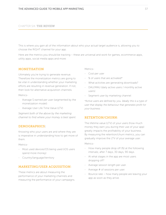#### CHAPTER SIX: THE REVIEW

This is where you gain all of the information about who your actual target audience is, allowing you to choose the RIGHT channel for your app.

Here are the metrics you should be tracking – these are universal and work for games, ecommerce apps, utility apps, social media apps and more:

#### MONETISATION

Ultimately you're trying to generate revenue. Therefore the monetization metrics are going to be vital in understanding whether your marketing efforts are resulting in revenue generation. If not, then look for alternative acquisition channels.

Metrics-

- Average \$ earned per user (segmented by the monetization model)
- Average User Life Time Value (LTV)

*Segment both of the above by the marketing channel to find where your money is best spent.*

#### DEMOGRAPHICS:

Knowing who your users are and where they are is imperative in understanding how to get more of them.

Metrics-

- Most used devices/OS being used (iOS users spend more money)
- Country/language/territory

#### MARKETING/USER ACQUISITION:

These metrics are about measuring the performance of your marketing channels and measuring the performance of your campaigns. Metrics-

- Cost per user
- $%$  of users that are activated\*
- What activities are generating downloads?
- DAU/MAU (daily active users / monthly active users)
- Segment user by marketing channel

*\*Active users are defined by you. Ideally this is a type of user that display the behaviour that generates profit for your business.* 

#### RETENTION/CHURN:

The lifetime value (LTV) of your users (how much money they earn you during their use of your app) greatly impacts the profitability of your business. By measuring the retention/churn metrics, you can gradually improve the LTV of your average user.

Metrics-

- How many people drop off (%) at the following intervals; after 7 days, 30 days, 90 days.
- At what stages in the app are most users dropping off?
- Average session length per user.
- Average # of sessions per user.
- Bounce rate how many people are leaving your app as soon as they arrive.